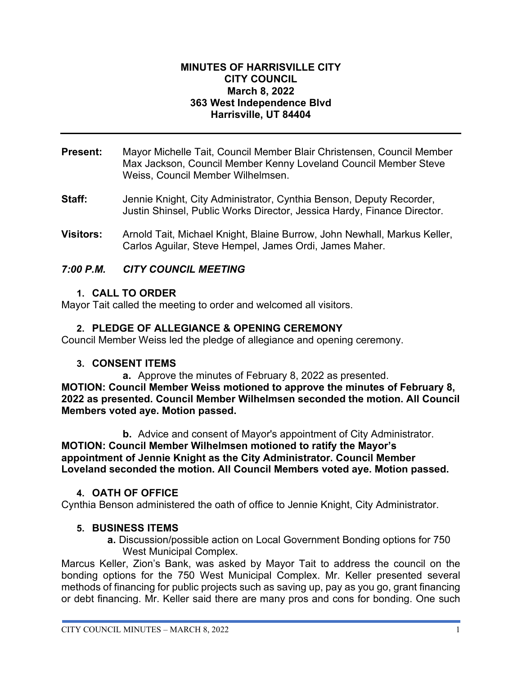#### **MINUTES OF HARRISVILLE CITY CITY COUNCIL March 8, 2022 363 West Independence Blvd Harrisville, UT 84404**

- **Present:** Mayor Michelle Tait, Council Member Blair Christensen, Council Member Max Jackson, Council Member Kenny Loveland Council Member Steve Weiss, Council Member Wilhelmsen.
- **Staff:** Jennie Knight, City Administrator, Cynthia Benson, Deputy Recorder, Justin Shinsel, Public Works Director, Jessica Hardy, Finance Director.
- **Visitors:** Arnold Tait, Michael Knight, Blaine Burrow, John Newhall, Markus Keller, Carlos Aguilar, Steve Hempel, James Ordi, James Maher.

## *7:00 P.M. CITY COUNCIL MEETING*

#### **1. CALL TO ORDER**

Mayor Tait called the meeting to order and welcomed all visitors.

## **2. PLEDGE OF ALLEGIANCE & OPENING CEREMONY**

Council Member Weiss led the pledge of allegiance and opening ceremony.

#### **3. CONSENT ITEMS**

**a.** Approve the minutes of February 8, 2022 as presented. **MOTION: Council Member Weiss motioned to approve the minutes of February 8, 2022 as presented. Council Member Wilhelmsen seconded the motion. All Council Members voted aye. Motion passed.**

**b.** Advice and consent of Mayor's appointment of City Administrator. **MOTION: Council Member Wilhelmsen motioned to ratify the Mayor's appointment of Jennie Knight as the City Administrator. Council Member Loveland seconded the motion. All Council Members voted aye. Motion passed.**

#### **4. OATH OF OFFICE**

Cynthia Benson administered the oath of office to Jennie Knight, City Administrator.

#### **5. BUSINESS ITEMS**

**a.** Discussion/possible action on Local Government Bonding options for 750 West Municipal Complex.

Marcus Keller, Zion's Bank, was asked by Mayor Tait to address the council on the bonding options for the 750 West Municipal Complex. Mr. Keller presented several methods of financing for public projects such as saving up, pay as you go, grant financing or debt financing. Mr. Keller said there are many pros and cons for bonding. One such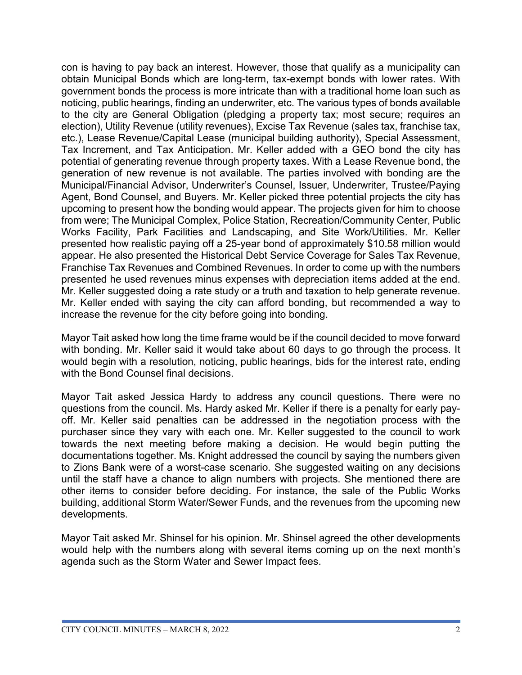con is having to pay back an interest. However, those that qualify as a municipality can obtain Municipal Bonds which are long-term, tax-exempt bonds with lower rates. With government bonds the process is more intricate than with a traditional home loan such as noticing, public hearings, finding an underwriter, etc. The various types of bonds available to the city are General Obligation (pledging a property tax; most secure; requires an election), Utility Revenue (utility revenues), Excise Tax Revenue (sales tax, franchise tax, etc.), Lease Revenue/Capital Lease (municipal building authority), Special Assessment, Tax Increment, and Tax Anticipation. Mr. Keller added with a GEO bond the city has potential of generating revenue through property taxes. With a Lease Revenue bond, the generation of new revenue is not available. The parties involved with bonding are the Municipal/Financial Advisor, Underwriter's Counsel, Issuer, Underwriter, Trustee/Paying Agent, Bond Counsel, and Buyers. Mr. Keller picked three potential projects the city has upcoming to present how the bonding would appear. The projects given for him to choose from were; The Municipal Complex, Police Station, Recreation/Community Center, Public Works Facility, Park Facilities and Landscaping, and Site Work/Utilities. Mr. Keller presented how realistic paying off a 25-year bond of approximately \$10.58 million would appear. He also presented the Historical Debt Service Coverage for Sales Tax Revenue, Franchise Tax Revenues and Combined Revenues. In order to come up with the numbers presented he used revenues minus expenses with depreciation items added at the end. Mr. Keller suggested doing a rate study or a truth and taxation to help generate revenue. Mr. Keller ended with saying the city can afford bonding, but recommended a way to increase the revenue for the city before going into bonding.

Mayor Tait asked how long the time frame would be if the council decided to move forward with bonding. Mr. Keller said it would take about 60 days to go through the process. It would begin with a resolution, noticing, public hearings, bids for the interest rate, ending with the Bond Counsel final decisions.

Mayor Tait asked Jessica Hardy to address any council questions. There were no questions from the council. Ms. Hardy asked Mr. Keller if there is a penalty for early payoff. Mr. Keller said penalties can be addressed in the negotiation process with the purchaser since they vary with each one. Mr. Keller suggested to the council to work towards the next meeting before making a decision. He would begin putting the documentations together. Ms. Knight addressed the council by saying the numbers given to Zions Bank were of a worst-case scenario. She suggested waiting on any decisions until the staff have a chance to align numbers with projects. She mentioned there are other items to consider before deciding. For instance, the sale of the Public Works building, additional Storm Water/Sewer Funds, and the revenues from the upcoming new developments.

Mayor Tait asked Mr. Shinsel for his opinion. Mr. Shinsel agreed the other developments would help with the numbers along with several items coming up on the next month's agenda such as the Storm Water and Sewer Impact fees.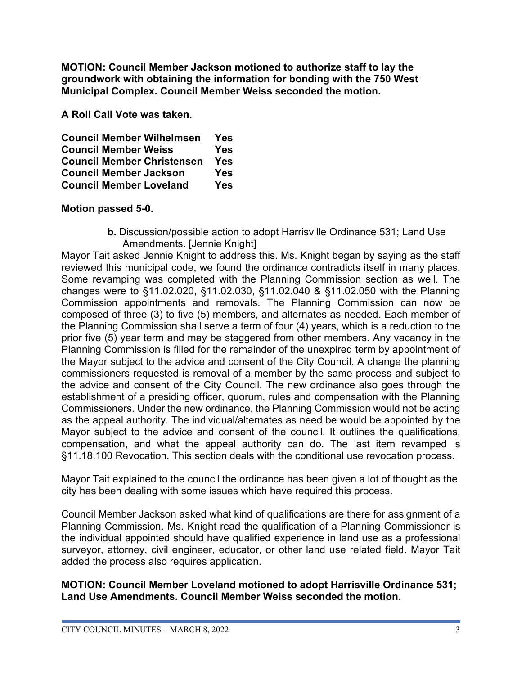**MOTION: Council Member Jackson motioned to authorize staff to lay the groundwork with obtaining the information for bonding with the 750 West Municipal Complex. Council Member Weiss seconded the motion.** 

**A Roll Call Vote was taken.**

| <b>Council Member Wilhelmsen</b>  | Yes        |
|-----------------------------------|------------|
| <b>Council Member Weiss</b>       | Yes        |
| <b>Council Member Christensen</b> | <b>Yes</b> |
| <b>Council Member Jackson</b>     | <b>Yes</b> |
| <b>Council Member Loveland</b>    | <b>Yes</b> |

## **Motion passed 5-0.**

**b.** Discussion/possible action to adopt Harrisville Ordinance 531; Land Use Amendments. [Jennie Knight]

Mayor Tait asked Jennie Knight to address this. Ms. Knight began by saying as the staff reviewed this municipal code, we found the ordinance contradicts itself in many places. Some revamping was completed with the Planning Commission section as well. The changes were to §11.02.020, §11.02.030, §11.02.040 & §11.02.050 with the Planning Commission appointments and removals. The Planning Commission can now be composed of three (3) to five (5) members, and alternates as needed. Each member of the Planning Commission shall serve a term of four (4) years, which is a reduction to the prior five (5) year term and may be staggered from other members. Any vacancy in the Planning Commission is filled for the remainder of the unexpired term by appointment of the Mayor subject to the advice and consent of the City Council. A change the planning commissioners requested is removal of a member by the same process and subject to the advice and consent of the City Council. The new ordinance also goes through the establishment of a presiding officer, quorum, rules and compensation with the Planning Commissioners. Under the new ordinance, the Planning Commission would not be acting as the appeal authority. The individual/alternates as need be would be appointed by the Mayor subject to the advice and consent of the council. It outlines the qualifications, compensation, and what the appeal authority can do. The last item revamped is §11.18.100 Revocation. This section deals with the conditional use revocation process.

Mayor Tait explained to the council the ordinance has been given a lot of thought as the city has been dealing with some issues which have required this process.

Council Member Jackson asked what kind of qualifications are there for assignment of a Planning Commission. Ms. Knight read the qualification of a Planning Commissioner is the individual appointed should have qualified experience in land use as a professional surveyor, attorney, civil engineer, educator, or other land use related field. Mayor Tait added the process also requires application.

#### **MOTION: Council Member Loveland motioned to adopt Harrisville Ordinance 531; Land Use Amendments. Council Member Weiss seconded the motion.**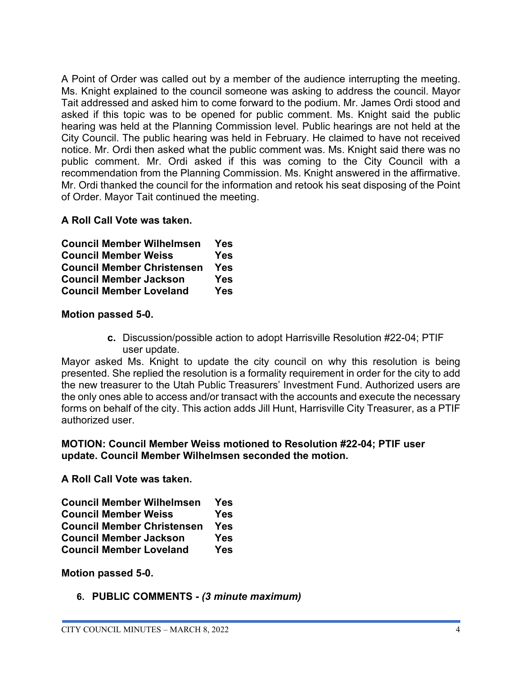A Point of Order was called out by a member of the audience interrupting the meeting. Ms. Knight explained to the council someone was asking to address the council. Mayor Tait addressed and asked him to come forward to the podium. Mr. James Ordi stood and asked if this topic was to be opened for public comment. Ms. Knight said the public hearing was held at the Planning Commission level. Public hearings are not held at the City Council. The public hearing was held in February. He claimed to have not received notice. Mr. Ordi then asked what the public comment was. Ms. Knight said there was no public comment. Mr. Ordi asked if this was coming to the City Council with a recommendation from the Planning Commission. Ms. Knight answered in the affirmative. Mr. Ordi thanked the council for the information and retook his seat disposing of the Point of Order. Mayor Tait continued the meeting.

## **A Roll Call Vote was taken.**

| <b>Council Member Wilhelmsen</b>  | Yes |
|-----------------------------------|-----|
| <b>Council Member Weiss</b>       | Yes |
| <b>Council Member Christensen</b> | Yes |
| <b>Council Member Jackson</b>     | Yes |
| <b>Council Member Loveland</b>    | Yes |

## **Motion passed 5-0.**

**c.** Discussion/possible action to adopt Harrisville Resolution #22-04; PTIF user update.

Mayor asked Ms. Knight to update the city council on why this resolution is being presented. She replied the resolution is a formality requirement in order for the city to add the new treasurer to the Utah Public Treasurers' Investment Fund. Authorized users are the only ones able to access and/or transact with the accounts and execute the necessary forms on behalf of the city. This action adds Jill Hunt, Harrisville City Treasurer, as a PTIF authorized user.

## **MOTION: Council Member Weiss motioned to Resolution #22-04; PTIF user update. Council Member Wilhelmsen seconded the motion.**

**A Roll Call Vote was taken.**

| <b>Council Member Wilhelmsen</b>  | Yes        |
|-----------------------------------|------------|
| <b>Council Member Weiss</b>       | Yes        |
| <b>Council Member Christensen</b> | <b>Yes</b> |
| <b>Council Member Jackson</b>     | Yes        |
| <b>Council Member Loveland</b>    | <b>Yes</b> |

**Motion passed 5-0.**

**6. PUBLIC COMMENTS -** *(3 minute maximum)*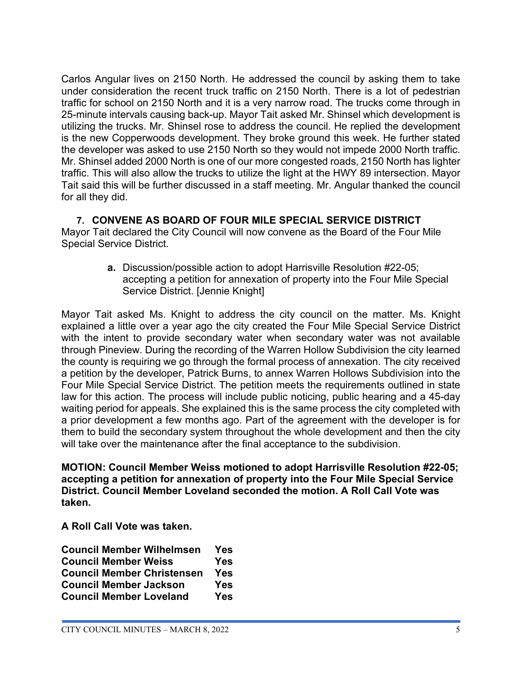Carlos Angular lives on 2150 North. He addressed the council by asking them to take under consideration the recent truck traffic on 2150 North. There is a lot of pedestrian traffic for school on 2150 North and it is a very narrow road. The trucks come through in 25-minute intervals causing back-up. Mayor Tait asked Mr. Shinsel which development is utilizing the trucks. Mr. Shinsel rose to address the council. He replied the development is the new Copperwoods development. They broke ground this week. He further stated the developer was asked to use 2150 North so they would not impede 2000 North traffic. Mr. Shinsel added 2000 North is one of our more congested roads, 2150 North has lighter traffic. This will also allow the trucks to utilize the light at the HWY 89 intersection. Mayor Tait said this will be further discussed in a staff meeting. Mr. Angular thanked the council for all they did.

# **7. CONVENE AS BOARD OF FOUR MILE SPECIAL SERVICE DISTRICT**

Mayor Tait declared the City Council will now convene as the Board of the Four Mile Special Service District.

> **a.** Discussion/possible action to adopt Harrisville Resolution #22-05; accepting a petition for annexation of property into the Four Mile Special Service District. [Jennie Knight]

Mayor Tait asked Ms. Knight to address the city council on the matter. Ms. Knight explained a little over a year ago the city created the Four Mile Special Service District with the intent to provide secondary water when secondary water was not available through Pineview. During the recording of the Warren Hollow Subdivision the city learned the county is requiring we go through the formal process of annexation. The city received a petition by the developer, Patrick Burns, to annex Warren Hollows Subdivision into the Four Mile Special Service District. The petition meets the requirements outlined in state law for this action. The process will include public noticing, public hearing and a 45-day waiting period for appeals. She explained this is the same process the city completed with a prior development a few months ago. Part of the agreement with the developer is for them to build the secondary system throughout the whole development and then the city will take over the maintenance after the final acceptance to the subdivision.

**MOTION: Council Member Weiss motioned to adopt Harrisville Resolution #22-05; accepting a petition for annexation of property into the Four Mile Special Service District. Council Member Loveland seconded the motion. A Roll Call Vote was taken.**

**A Roll Call Vote was taken.**

| <b>Council Member Wilhelmsen</b>  | Yes        |
|-----------------------------------|------------|
| <b>Council Member Weiss</b>       | <b>Yes</b> |
| <b>Council Member Christensen</b> | <b>Yes</b> |
| <b>Council Member Jackson</b>     | <b>Yes</b> |
| <b>Council Member Loveland</b>    | <b>Yes</b> |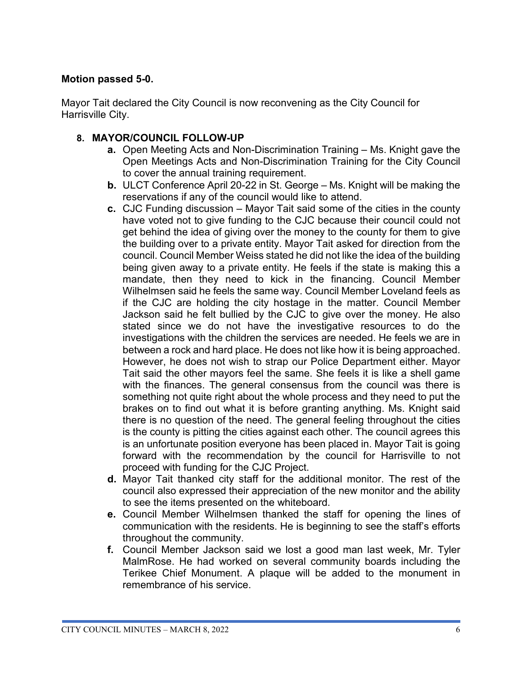## **Motion passed 5-0.**

Mayor Tait declared the City Council is now reconvening as the City Council for Harrisville City.

## **8. MAYOR/COUNCIL FOLLOW-UP**

- **a.** Open Meeting Acts and Non-Discrimination Training Ms. Knight gave the Open Meetings Acts and Non-Discrimination Training for the City Council to cover the annual training requirement.
- **b.** ULCT Conference April 20-22 in St. George Ms. Knight will be making the reservations if any of the council would like to attend.
- **c.** CJC Funding discussion Mayor Tait said some of the cities in the county have voted not to give funding to the CJC because their council could not get behind the idea of giving over the money to the county for them to give the building over to a private entity. Mayor Tait asked for direction from the council. Council Member Weiss stated he did not like the idea of the building being given away to a private entity. He feels if the state is making this a mandate, then they need to kick in the financing. Council Member Wilhelmsen said he feels the same way. Council Member Loveland feels as if the CJC are holding the city hostage in the matter. Council Member Jackson said he felt bullied by the CJC to give over the money. He also stated since we do not have the investigative resources to do the investigations with the children the services are needed. He feels we are in between a rock and hard place. He does not like how it is being approached. However, he does not wish to strap our Police Department either. Mayor Tait said the other mayors feel the same. She feels it is like a shell game with the finances. The general consensus from the council was there is something not quite right about the whole process and they need to put the brakes on to find out what it is before granting anything. Ms. Knight said there is no question of the need. The general feeling throughout the cities is the county is pitting the cities against each other. The council agrees this is an unfortunate position everyone has been placed in. Mayor Tait is going forward with the recommendation by the council for Harrisville to not proceed with funding for the CJC Project.
- **d.** Mayor Tait thanked city staff for the additional monitor. The rest of the council also expressed their appreciation of the new monitor and the ability to see the items presented on the whiteboard.
- **e.** Council Member Wilhelmsen thanked the staff for opening the lines of communication with the residents. He is beginning to see the staff's efforts throughout the community.
- **f.** Council Member Jackson said we lost a good man last week, Mr. Tyler MalmRose. He had worked on several community boards including the Terikee Chief Monument. A plaque will be added to the monument in remembrance of his service.